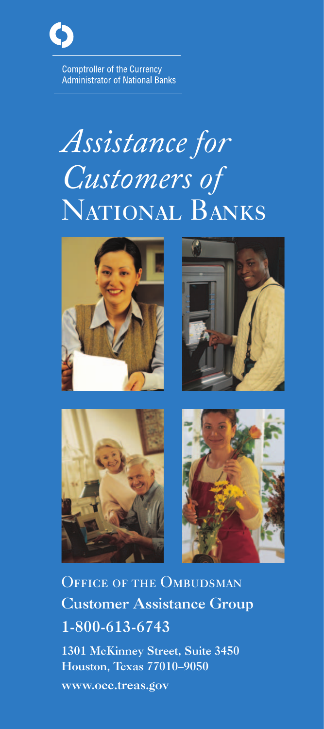

**Comptroller of the Currency Administrator of National Banks** 

# *Assistance for Customers of* NATIONAL BANKS









OFFICE OF THE OMBUDSMAN Customer Assistance Group 1-800-613-6743

1301 McKinney Street, Suite 3450 Houston, Texas 77010–9050 www.occ.treas.gov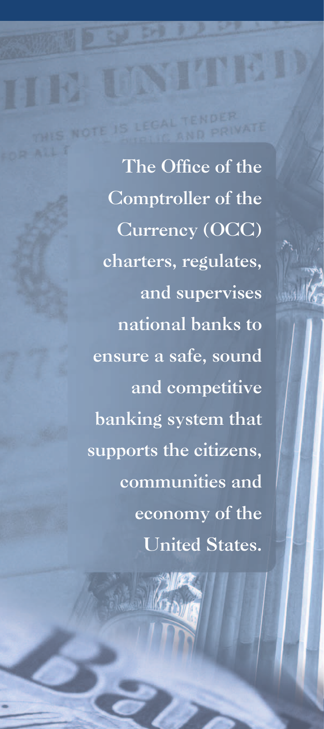The Office of the Comptroller of the Currency (OCC) charters, regulates, and supervises national banks to ensure a safe, sound and competitive banking system that supports the citizens, communities and economy of the United States.

2 *Making a Diff erence*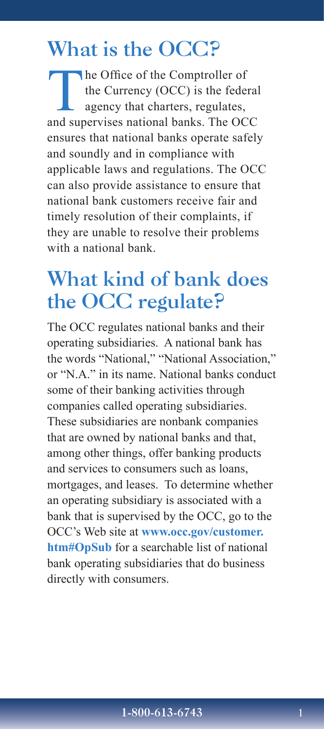### What is the OCC?

The Office of the Comptroller of<br>the Currency (OCC) is the feder<br>agency that charters, regulates, the Currency (OCC) is the federal agency that charters, regulates, and supervises national banks. The OCC ensures that national banks operate safely and soundly and in compliance with applicable laws and regulations. The OCC can also provide assistance to ensure that national bank customers receive fair and timely resolution of their complaints, if they are unable to resolve their problems with a national bank.

### What kind of bank does the OCC regulate?

The OCC regulates national banks and their operating subsidiaries. A national bank has the words "National," "National Association," or "N.A." in its name. National banks conduct some of their banking activities through companies called operating subsidiaries. These subsidiaries are nonbank companies that are owned by national banks and that, among other things, offer banking products and services to consumers such as loans, mortgages, and leases. To determine whether an operating subsidiary is associated with a bank that is supervised by the OCC, go to the OCC's Web site at **[www.occ.gov/customer.](http://www.occ.gov/customer.htm#opsub) [htm#OpSub](http://www.occ.gov/customer.htm#opsub)** for a searchable list of national bank operating subsidiaries that do business directly with consumers.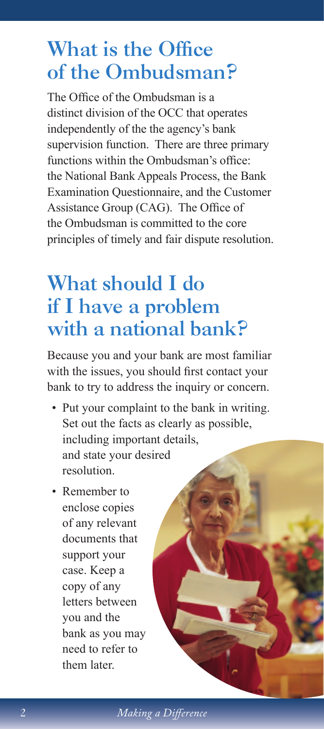### What is the Office of the Ombudsman?

The Office of the Ombudsman is a distinct division of the OCC that operates independently of the the agency's bank supervision function. There are three primary functions within the Ombudsman's office: the National Bank Appeals Process, the Bank Examination Questionnaire, and the Customer Assistance Group (CAG). The Office of the Ombudsman is committed to the core principles of timely and fair dispute resolution.

### What should I do if I have a problem with a national bank?

Because you and your bank are most familiar with the issues, you should first contact your bank to try to address the inquiry or concern.

- Put your complaint to the bank in writing. Set out the facts as clearly as possible, including important details, and state your desired resolution.
- Remember to enclose copies of any relevant documents that support your case. Keep a copy of any letters between you and the bank as you may need to refer to them later.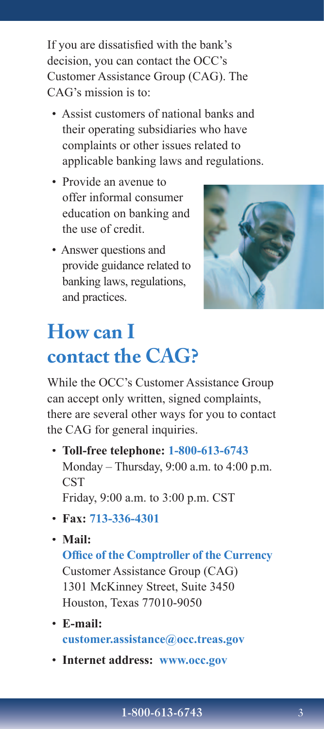If you are dissatisfied with the bank's decision, you can contact the OCC's Customer Assistance Group (CAG). The CAG's mission is to:

- Assist customers of national banks and their operating subsidiaries who have complaints or other issues related to applicable banking laws and regulations.
- Provide an avenue to offer informal consumer education on banking and the use of credit.
- Answer questions and provide guidance related to banking laws, regulations, and practices.



# **How can I contact the CAG?**

While the OCC's Customer Assistance Group can accept only written, signed complaints, there are several other ways for you to contact the CAG for general inquiries.

• **Toll-free telephone: 1-800-613-6743** Monday – Thursday, 9:00 a.m. to 4:00 p.m. **CST** Friday, 9:00 a.m. to 3:00 p.m. CST

- **Fax: 713-336-4301**
- **Mail: Office of the Comptroller of the Currency** Customer Assistance Group (CAG) 1301 McKinney Street, Suite 3450 Houston, Texas 77010-9050
- **E-mail: customer.assistance@occ.treas.gov**
- **Internet address: www.occ.gov**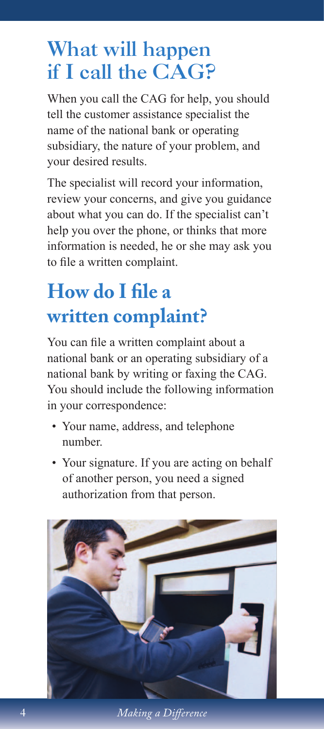### What will happen if I call the CAG?

When you call the CAG for help, you should tell the customer assistance specialist the name of the national bank or operating subsidiary, the nature of your problem, and your desired results.

The specialist will record your information, review your concerns, and give you guidance about what you can do. If the specialist can't help you over the phone, or thinks that more information is needed, he or she may ask you to file a written complaint.

# **How do I file a written complaint?**

You can file a written complaint about a national bank or an operating subsidiary of a national bank by writing or faxing the CAG. You should include the following information in your correspondence:

- Your name, address, and telephone number.
- Your signature. If you are acting on behalf of another person, you need a signed authorization from that person.



4 *Making a Difference*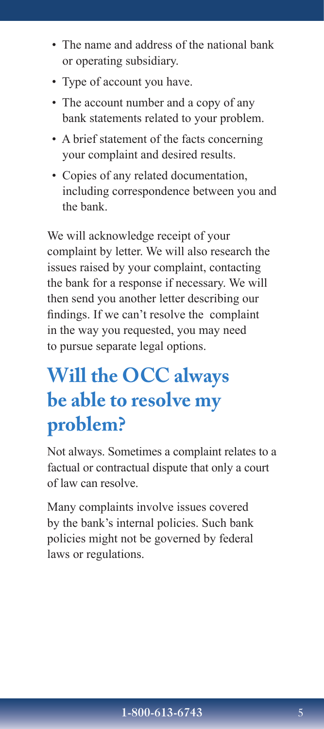- The name and address of the national bank or operating subsidiary.
- Type of account you have.
- The account number and a copy of any bank statements related to your problem.
- A brief statement of the facts concerning your complaint and desired results.
- Copies of any related documentation, including correspondence between you and the bank.

We will acknowledge receipt of your complaint by letter. We will also research the issues raised by your complaint, contacting the bank for a response if necessary. We will then send you another letter describing our findings. If we can't resolve the complaint in the way you requested, you may need to pursue separate legal options.

## **Will the OCC always be able to resolve my problem?**

Not always. Sometimes a complaint relates to a factual or contractual dispute that only a court of law can resolve.

Many complaints involve issues covered by the bank's internal policies. Such bank policies might not be governed by federal laws or regulations.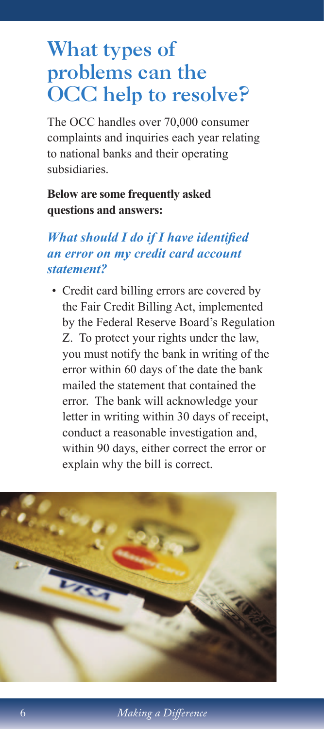### What types of problems can the OCC help to resolve?

The OCC handles over 70,000 consumer complaints and inquiries each year relating to national banks and their operating subsidiaries.

#### **Below are some frequently asked questions and answers:**

#### *What should I do if I have identified an error on my credit card account statement?*

• Credit card billing errors are covered by the Fair Credit Billing Act, implemented by the Federal Reserve Board's Regulation Z. To protect your rights under the law, you must notify the bank in writing of the error within 60 days of the date the bank mailed the statement that contained the error. The bank will acknowledge your letter in writing within 30 days of receipt, conduct a reasonable investigation and, within 90 days, either correct the error or explain why the bill is correct.

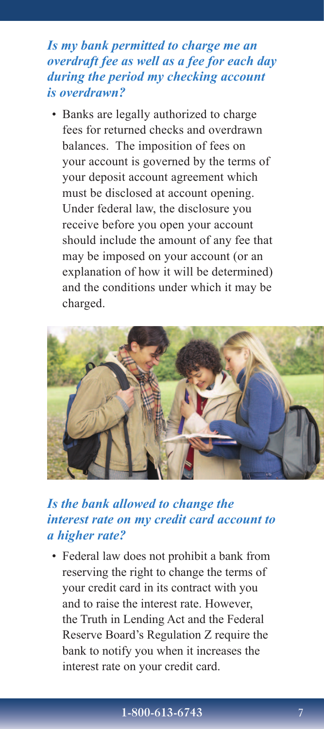#### *Is my bank permitted to charge me an overdraft fee as well as a fee for each day during the period my checking account is overdrawn?*

• Banks are legally authorized to charge fees for returned checks and overdrawn balances. The imposition of fees on your account is governed by the terms of your deposit account agreement which must be disclosed at account opening. Under federal law, the disclosure you receive before you open your account should include the amount of any fee that may be imposed on your account (or an explanation of how it will be determined) and the conditions under which it may be charged.



#### *Is the bank allowed to change the interest rate on my credit card account to a higher rate?*

• Federal law does not prohibit a bank from reserving the right to change the terms of your credit card in its contract with you and to raise the interest rate. However, the Truth in Lending Act and the Federal Reserve Board's Regulation Z require the bank to notify you when it increases the interest rate on your credit card.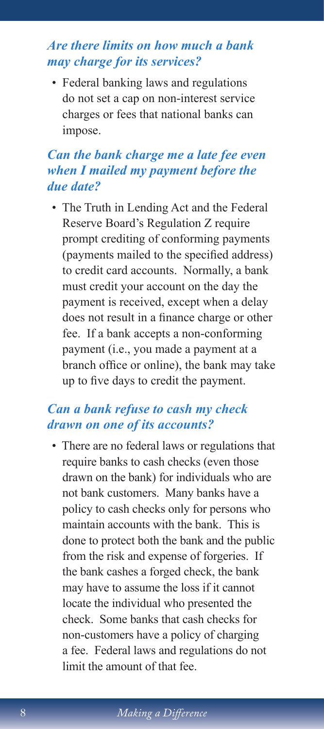#### *Are there limits on how much a bank may charge for its services?*

• Federal banking laws and regulations do not set a cap on non-interest service charges or fees that national banks can impose.

#### *Can the bank charge me a late fee even when I mailed my payment before the due date?*

• The Truth in Lending Act and the Federal Reserve Board's Regulation Z require prompt crediting of conforming payments (payments mailed to the specified address) to credit card accounts. Normally, a bank must credit your account on the day the payment is received, except when a delay does not result in a finance charge or other fee. If a bank accepts a non-conforming payment (i.e., you made a payment at a branch office or online), the bank may take up to five days to credit the payment.

#### *Can a bank refuse to cash my check drawn on one of its accounts?*

• There are no federal laws or regulations that require banks to cash checks (even those drawn on the bank) for individuals who are not bank customers. Many banks have a policy to cash checks only for persons who maintain accounts with the bank. This is done to protect both the bank and the public from the risk and expense of forgeries. If the bank cashes a forged check, the bank may have to assume the loss if it cannot locate the individual who presented the check. Some banks that cash checks for non-customers have a policy of charging a fee. Federal laws and regulations do not limit the amount of that fee.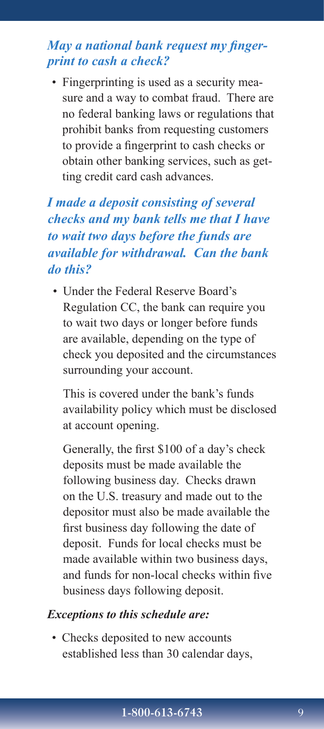#### *May a national bank request my fingerprint to cash a check?*

• Fingerprinting is used as a security measure and a way to combat fraud. There are no federal banking laws or regulations that prohibit banks from requesting customers to provide a fingerprint to cash checks or obtain other banking services, such as getting credit card cash advances.

#### *I made a deposit consisting of several checks and my bank tells me that I have to wait two days before the funds are available for withdrawal. Can the bank do this?*

• Under the Federal Reserve Board's Regulation CC, the bank can require you to wait two days or longer before funds are available, depending on the type of check you deposited and the circumstances surrounding your account.

 This is covered under the bank's funds availability policy which must be disclosed at account opening.

Generally, the first \$100 of a day's check deposits must be made available the following business day. Checks drawn on the U.S. treasury and made out to the depositor must also be made available the first business day following the date of deposit. Funds for local checks must be made available within two business days, and funds for non-local checks within five business days following deposit.

#### *Exceptions to this schedule are:*

• Checks deposited to new accounts established less than 30 calendar days,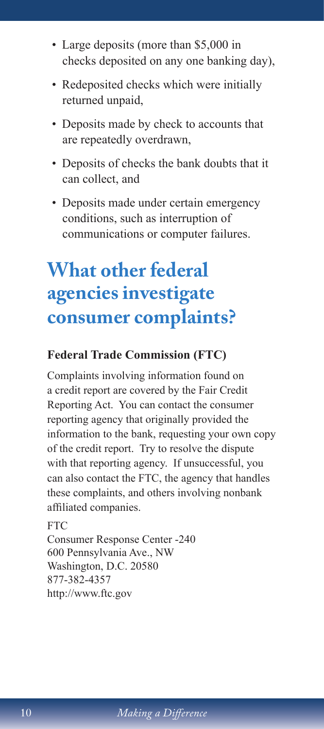- Large deposits (more than \$5,000 in checks deposited on any one banking day),
- Redeposited checks which were initially returned unpaid,
- Deposits made by check to accounts that are repeatedly overdrawn,
- Deposits of checks the bank doubts that it can collect, and
- Deposits made under certain emergency conditions, such as interruption of communications or computer failures.

### **What other federal agencies investigate consumer complaints?**

#### **Federal Trade Commission (FTC)**

Complaints involving information found on a credit report are covered by the Fair Credit Reporting Act. You can contact the consumer reporting agency that originally provided the information to the bank, requesting your own copy of the credit report. Try to resolve the dispute with that reporting agency. If unsuccessful, you can also contact the FTC, the agency that handles these complaints, and others involving nonbank affiliated companies.

FTC Consumer Response Center -240 600 Pennsylvania Ave., NW Washington, D.C. 20580 877-382-4357 http://www.ftc.gov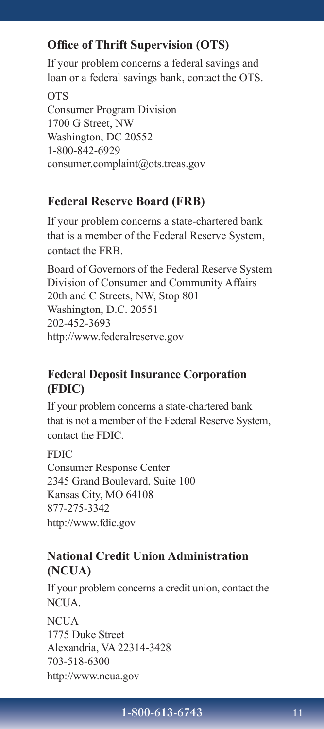#### **Office of Thrift Supervision (OTS)**

If your problem concerns a federal savings and loan or a federal savings bank, contact the OTS.

OTS Consumer Program Division 1700 G Street, NW Washington, DC 20552 1-800-842-6929 consumer.complaint@ots.treas.gov

#### **Federal Reserve Board (FRB)**

If your problem concerns a state-chartered bank that is a member of the Federal Reserve System, contact the FRB.

Board of Governors of the Federal Reserve System Division of Consumer and Community Affairs 20th and C Streets, NW, Stop 801 Washington, D.C. 20551 202-452-3693 http://www.federalreserve.gov

#### **Federal Deposit Insurance Corporation (FDIC)**

If your problem concerns a state-chartered bank that is not a member of the Federal Reserve System, contact the FDIC.

#### FDIC

Consumer Response Center 2345 Grand Boulevard, Suite 100 Kansas City, MO 64108 877-275-3342 http://www.fdic.gov

#### **National Credit Union Administration (NCUA)**

If your problem concerns a credit union, contact the NCUA.

**NCUA** 1775 Duke Street Alexandria, VA 22314-3428 703-518-6300 http://www.ncua.gov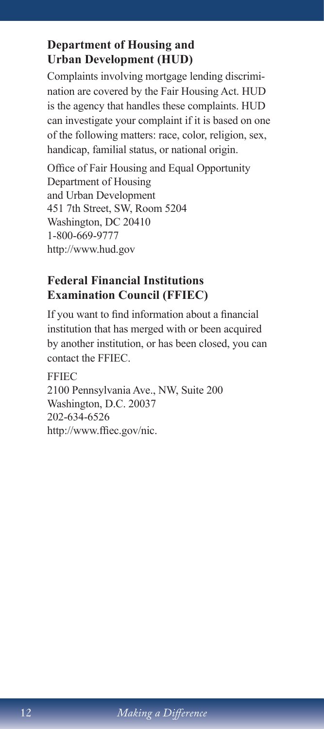#### **Department of Housing and Urban Development (HUD)**

Complaints involving mortgage lending discrimination are covered by the Fair Housing Act. HUD is the agency that handles these complaints. HUD can investigate your complaint if it is based on one of the following matters: race, color, religion, sex, handicap, familial status, or national origin.

Office of Fair Housing and Equal Opportunity Department of Housing and Urban Development 451 7th Street, SW, Room 5204 Washington, DC 20410 1-800-669-9777 http://www.hud.gov

#### **Federal Financial Institutions Examination Council (FFIEC)**

If you want to find information about a financial institution that has merged with or been acquired by another institution, or has been closed, you can contact the FFIEC.

FFIEC 2100 Pennsylvania Ave., NW, Suite 200 Washington, D.C. 20037 202-634-6526 http://www.ffiec.gov/nic.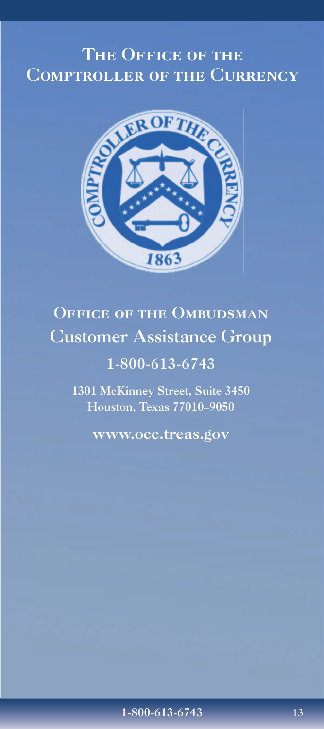### THE OFFICE OF THE Comptroller of the Currency



### OFFICE OF THE OMBUDSMAN Customer Assistance Group

### 1-800-613-6743

1301 McKinney Street, Suite 3450 Houston, Texas 77010–9050

www.occ.treas.gov